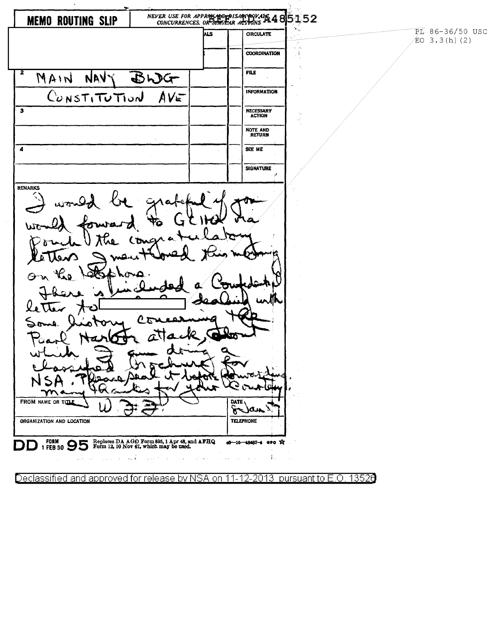NEVER USE FOR APPROXIMATIONS ARREST AND STUDENCES, OR SHIPLEAR ACTIONS AT 485 **MEMO ROUTING SLIP** PL 86-36/50 USC hцs **CIRCULATE**  $EO$  3.3(h)(2) **COORDINATION** ś  $\overline{\mathbf{2}}$  $FILE$ MAIN NAV BWG CONSTITUTION **INFORMATION** AVE  $\overline{\mathbf{3}}$ NECESSARY<br>ACTION NOTE AND<br>RETURN  $\overline{4}$ SEE ME **SIGNATURE** REMARKS Λ FROM NAME OR TITLE DATE  $\boldsymbol{\hat{\sigma}}$ ran **TELEPHONE** ORGANIZATION AND LOCATION DD 1 FEB 50 95 Form 12, 10 Nov 47, which may be used.  $-16 - 48487 - 4$  GPO  $X$ İ. Declassified and approved for release by NSA 13526 on 2013. pursuant to E.O. 12

 $\ddot{\phantom{a}}$